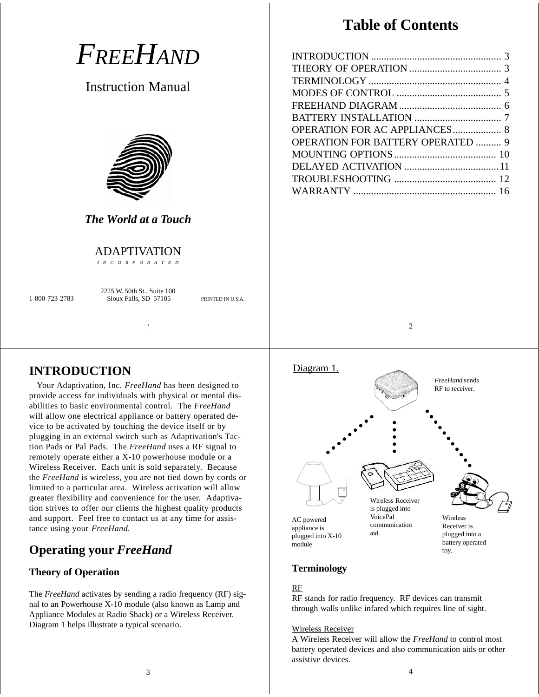|                                                                                             | <b>Table of Contents</b>                 |
|---------------------------------------------------------------------------------------------|------------------------------------------|
| FREEHAND<br><b>Instruction Manual</b>                                                       |                                          |
| <b>The World at a Touch</b>                                                                 | <b>OPERATION FOR BATTERY OPERATED  9</b> |
| <b>ADAPTIVATION</b><br>I N C O R P O R A T E D                                              |                                          |
| 2225 W. 50th St., Suite 100<br>Sioux Falls, SD 57105<br>1-800-723-2783<br>PRINTED IN U.S.A. |                                          |
|                                                                                             | 2                                        |
|                                                                                             |                                          |

# **INTRODUCTION**

Your Adaptivation, Inc. *FreeHand* has been designed to provide access for individuals with physical or mental disabilities to basic environmental control. The *FreeHand* will allow one electrical appliance or battery operated device to be activated by touching the device itself or by plugging in an external switch such as Adaptivation's Taction Pads or Pal Pads. The *FreeHand* uses a RF signal to remotely operate either a X-10 powerhouse module or a Wireless Receiver. Each unit is sold separately. Because the *FreeHand* is wireless, you are not tied down by cords or limited to a particular area. Wireless activation will allow greater flexibility and convenience for the user. Adaptivation strives to offer our clients the highest quality products and support. Feel free to contact us at any time for assistance using your *FreeHand.*

# **Operating your** *FreeHand*

## **Theory of Operation**

The *FreeHand* activates by sending a radio frequency (RF) signal to an Powerhouse X-10 module (also known as Lamp and Appliance Modules at Radio Shack) or a Wireless Receiver. Diagram 1 helps illustrate a typical scenario.



# **Terminology**

### RF

RF stands for radio frequency. RF devices can transmit through walls unlike infared which requires line of sight.

#### Wireless Receiver

A Wireless Receiver will allow the *FreeHand* to control most battery operated devices and also communication aids or other assistive devices.

toy.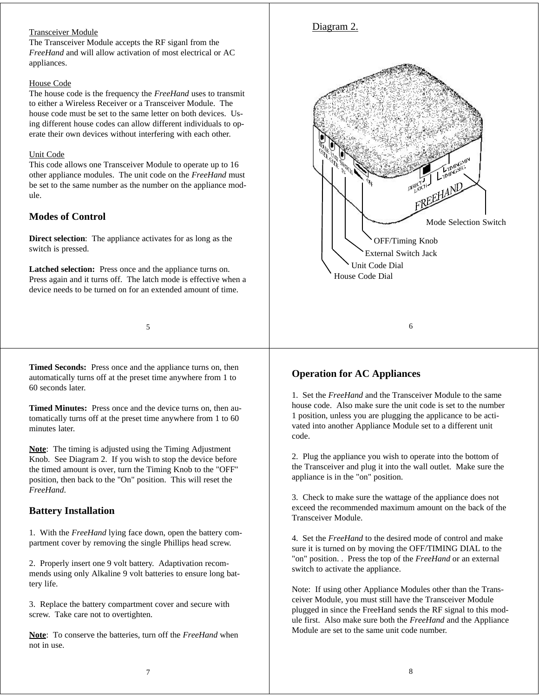### Transceiver Module

The Transceiver Module accepts the RF siganl from the *FreeHand* and will allow activation of most electrical or AC appliances.

#### House Code

The house code is the frequency the *FreeHand* uses to transmit to either a Wireless Receiver or a Transceiver Module. The house code must be set to the same letter on both devices. Using different house codes can allow different individuals to operate their own devices without interfering with each other.

#### Unit Code

This code allows one Transceiver Module to operate up to 16 other appliance modules. The unit code on the *FreeHand* must be set to the same number as the number on the appliance module.

### **Modes of Control**

**Direct selection**: The appliance activates for as long as the switch is pressed.

**Latched selection:** Press once and the appliance turns on. Press again and it turns off. The latch mode is effective when a device needs to be turned on for an extended amount of time.

#### 5

**Timed Seconds:** Press once and the appliance turns on, then automatically turns off at the preset time anywhere from 1 to 60 seconds later.

**Timed Minutes:** Press once and the device turns on, then automatically turns off at the preset time anywhere from 1 to 60 minutes later

**Note**: The timing is adjusted using the Timing Adjustment Knob. See Diagram 2. If you wish to stop the device before the timed amount is over, turn the Timing Knob to the "OFF" position, then back to the "On" position. This will reset the *FreeHand*.

### **Battery Installation**

1. With the *FreeHand* lying face down, open the battery compartment cover by removing the single Phillips head screw.

2. Properly insert one 9 volt battery. Adaptivation recommends using only Alkaline 9 volt batteries to ensure long battery life.

3. Replace the battery compartment cover and secure with screw. Take care not to overtighten.

**Note**: To conserve the batteries, turn off the *FreeHand* when not in use.



### **Operation for AC Appliances**

1. Set the *FreeHand* and the Transceiver Module to the same house code. Also make sure the unit code is set to the number 1 position, unless you are plugging the applicance to be activated into another Appliance Module set to a different unit code.

2. Plug the appliance you wish to operate into the bottom of the Transceiver and plug it into the wall outlet. Make sure the appliance is in the "on" position.

3. Check to make sure the wattage of the appliance does not exceed the recommended maximum amount on the back of the Transceiver Module.

4. Set the *FreeHand* to the desired mode of control and make sure it is turned on by moving the OFF/TIMING DIAL to the "on" position. . Press the top of the *FreeHand* or an external switch to activate the appliance.

Note: If using other Appliance Modules other than the Transceiver Module, you must still have the Transceiver Module plugged in since the FreeHand sends the RF signal to this module first. Also make sure both the *FreeHand* and the Appliance Module are set to the same unit code number.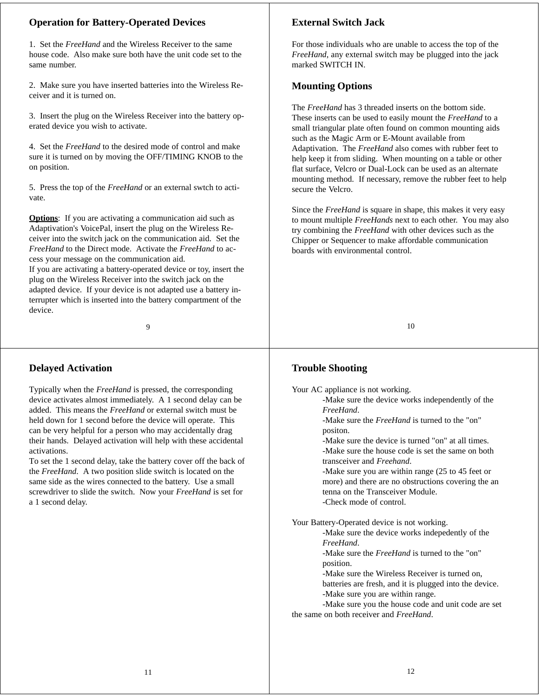## **Operation for Battery-Operated Devices**

1. Set the *FreeHand* and the Wireless Receiver to the same house code. Also make sure both have the unit code set to the same number.

2. Make sure you have inserted batteries into the Wireless Receiver and it is turned on.

3. Insert the plug on the Wireless Receiver into the battery operated device you wish to activate.

4. Set the *FreeHand* to the desired mode of control and make sure it is turned on by moving the OFF/TIMING KNOB to the on position.

5. Press the top of the *FreeHand* or an external swtch to activate.

**Options**: If you are activating a communication aid such as Adaptivation's VoicePal, insert the plug on the Wireless Receiver into the switch jack on the communication aid. Set the *FreeHand* to the Direct mode. Activate the *FreeHand* to access your message on the communication aid.

If you are activating a battery-operated device or toy, insert the plug on the Wireless Receiver into the switch jack on the adapted device. If your device is not adapted use a battery interrupter which is inserted into the battery compartment of the device.

9

## **Delayed Activation**

Typically when the *FreeHand* is pressed, the corresponding device activates almost immediately. A 1 second delay can be added. This means the *FreeHand* or external switch must be held down for 1 second before the device will operate. This can be very helpful for a person who may accidentally drag their hands. Delayed activation will help with these accidental activations.

To set the 1 second delay, take the battery cover off the back of the *FreeHand*. A two position slide switch is located on the same side as the wires connected to the battery. Use a small screwdriver to slide the switch. Now your *FreeHand* is set for a 1 second delay.

# **External Switch Jack**

For those individuals who are unable to access the top of the *FreeHand*, any external switch may be plugged into the jack marked SWITCH IN.

### **Mounting Options**

The *FreeHand* has 3 threaded inserts on the bottom side. These inserts can be used to easily mount the *FreeHand* to a small triangular plate often found on common mounting aids such as the Magic Arm or E-Mount available from Adaptivation. The *FreeHand* also comes with rubber feet to help keep it from sliding. When mounting on a table or other flat surface, Velcro or Dual-Lock can be used as an alternate mounting method. If necessary, remove the rubber feet to help secure the Velcro.

Since the *FreeHand* is square in shape, this makes it very easy to mount multiple *FreeHands* next to each other. You may also try combining the *FreeHand* with other devices such as the Chipper or Sequencer to make affordable communication boards with environmental control.

10

## **Trouble Shooting**

Your AC appliance is not working.

-Make sure the device works independently of the *FreeHand*.

-Make sure the *FreeHand* is turned to the "on" positon.

-Make sure the device is turned "on" at all times. -Make sure the house code is set the same on both transceiver and *Freehand*.

-Make sure you are within range (25 to 45 feet or more) and there are no obstructions covering the an tenna on the Transceiver Module. -Check mode of control.

Your Battery-Operated device is not working.

-Make sure the device works indepedently of the *FreeHand*.

-Make sure the *FreeHand* is turned to the "on" position.

-Make sure the Wireless Receiver is turned on, batteries are fresh, and it is plugged into the device. -Make sure you are within range.

-Make sure you the house code and unit code are set the same on both receiver and *FreeHand*.